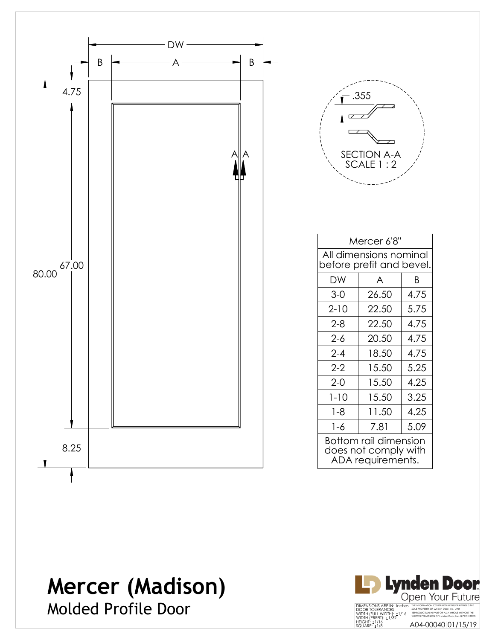



| Mercer 6'8"                                                        |       |      |  |  |
|--------------------------------------------------------------------|-------|------|--|--|
| All dimensions nominal<br>before prefit and bevel.                 |       |      |  |  |
| DW                                                                 | A     | B    |  |  |
| $3-0$                                                              | 26.50 | 4.75 |  |  |
| $2 - 10$                                                           | 22.50 | 5.75 |  |  |
| 2-8                                                                | 22.50 | 4.75 |  |  |
| $2 - 6$                                                            | 20.50 | 4.75 |  |  |
| $2 - 4$                                                            | 18.50 | 4.75 |  |  |
| $2-2$                                                              | 15.50 | 5.25 |  |  |
| $2 - 0$                                                            | 15.50 | 4.25 |  |  |
| $1 - 10$                                                           | 15.50 | 3.25 |  |  |
| 1-8                                                                | 11.50 | 4.25 |  |  |
| 1-6                                                                | 7.81  | 5.09 |  |  |
| Bottom rail dimension<br>does not comply with<br>ADA requirements. |       |      |  |  |

Molded Profile Door

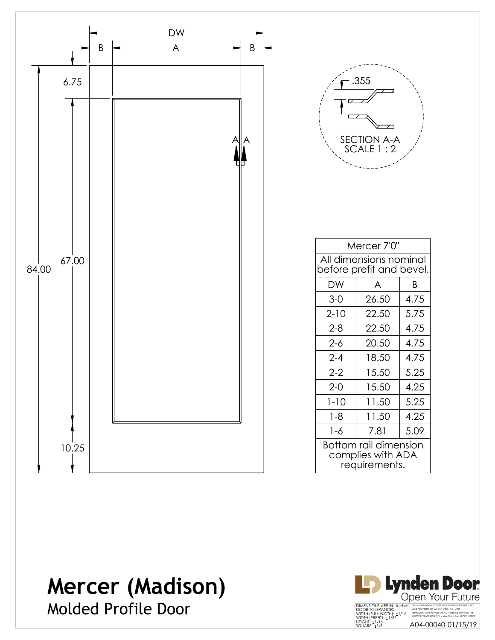

Molded Profile Door

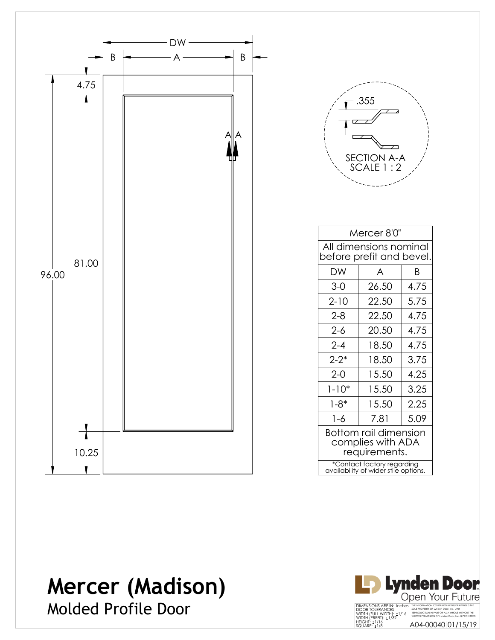



| Mercer 8'0"                                                        |       |      |  |  |
|--------------------------------------------------------------------|-------|------|--|--|
| All dimensions nominal<br>before prefit and bevel.                 |       |      |  |  |
| DW                                                                 | A     | Β    |  |  |
| $3-0$                                                              | 26.50 | 4.75 |  |  |
| $2 - 10$                                                           | 22.50 | 5.75 |  |  |
| 2-8                                                                | 22.50 | 4.75 |  |  |
| $2 - 6$                                                            | 20.50 | 4.75 |  |  |
| $2 - 4$                                                            | 18.50 | 4.75 |  |  |
| $2 - 2^*$                                                          | 18.50 | 3.75 |  |  |
| $2 - 0$                                                            | 15.50 | 4.25 |  |  |
| $1 - 10*$                                                          | 15.50 | 3.25 |  |  |
| $1 - 8*$                                                           | 15.50 | 2.25 |  |  |
| 1-6                                                                | 7.81  | 5.09 |  |  |
| Bottom rail dimension<br>complies with ADA<br>requirements.        |       |      |  |  |
| *Contact factory regarding<br>availability of wider stile options. |       |      |  |  |

Molded Profile Door

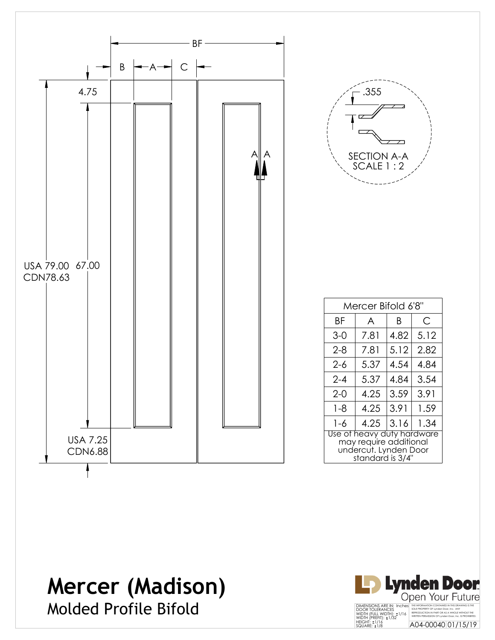

Molded Profile Bifold

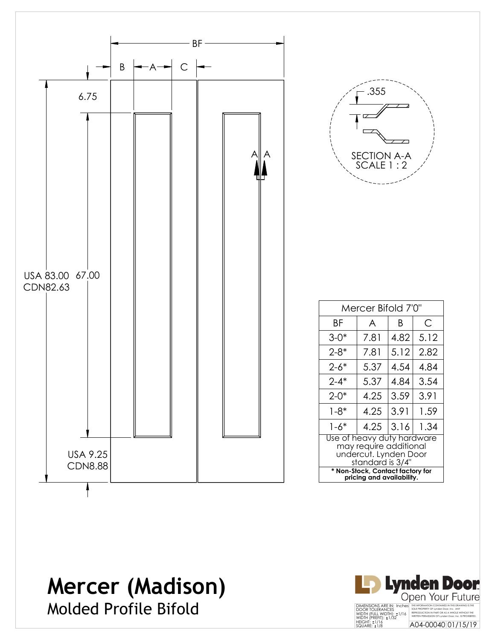